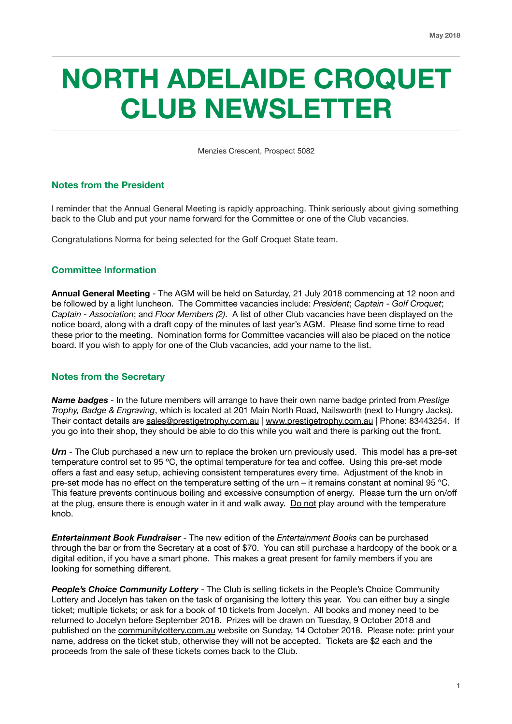# **NORTH ADELAIDE CROQUET CLUB NEWSLETTER**

Menzies Crescent, Prospect 5082

# **Notes from the President**

I reminder that the Annual General Meeting is rapidly approaching. Think seriously about giving something back to the Club and put your name forward for the Committee or one of the Club vacancies.

Congratulations Norma for being selected for the Golf Croquet State team.

## **Committee Information**

**Annual General Meeting** - The AGM will be held on Saturday, 21 July 2018 commencing at 12 noon and be followed by a light luncheon. The Committee vacancies include: *President*; *Captain - Golf Croquet*; *Captain - Association*; and *Floor Members (2)*. A list of other Club vacancies have been displayed on the notice board, along with a draft copy of the minutes of last year's AGM. Please find some time to read these prior to the meeting. Nomination forms for Committee vacancies will also be placed on the notice board. If you wish to apply for one of the Club vacancies, add your name to the list.

#### **Notes from the Secretary**

*Name badges* - In the future members will arrange to have their own name badge printed from *Prestige Trophy, Badge & Engraving*, which is located at 201 Main North Road, Nailsworth (next to Hungry Jacks). Their contact details are [sales@prestigetrophy.com.au](mailto:sales@prestigetrophy.com.au) | [www.prestigetrophy.com.au](http://www.prestigetrophy.com.au) | Phone: 83443254. If you go into their shop, they should be able to do this while you wait and there is parking out the front.

*Urn* - The Club purchased a new urn to replace the broken urn previously used. This model has a pre-set temperature control set to 95 ºC, the optimal temperature for tea and coffee. Using this pre-set mode offers a fast and easy setup, achieving consistent temperatures every time. Adjustment of the knob in pre-set mode has no effect on the temperature setting of the urn – it remains constant at nominal 95 ºC. This feature prevents continuous boiling and excessive consumption of energy. Please turn the urn on/off at the plug, ensure there is enough water in it and walk away. Do not play around with the temperature knob.

*Entertainment Book Fundraiser* - The new edition of the *Entertainment Books* can be purchased through the bar or from the Secretary at a cost of \$70. You can still purchase a hardcopy of the book or a digital edition, if you have a smart phone. This makes a great present for family members if you are looking for something different.

*People's Choice Community Lottery* - The Club is selling tickets in the People's Choice Community Lottery and Jocelyn has taken on the task of organising the lottery this year. You can either buy a single ticket; multiple tickets; or ask for a book of 10 tickets from Jocelyn. All books and money need to be returned to Jocelyn before September 2018. Prizes will be drawn on Tuesday, 9 October 2018 and published on the [communitylottery.com.au](http://communitylottery.com.au) website on Sunday, 14 October 2018. Please note: print your name, address on the ticket stub, otherwise they will not be accepted. Tickets are \$2 each and the proceeds from the sale of these tickets comes back to the Club.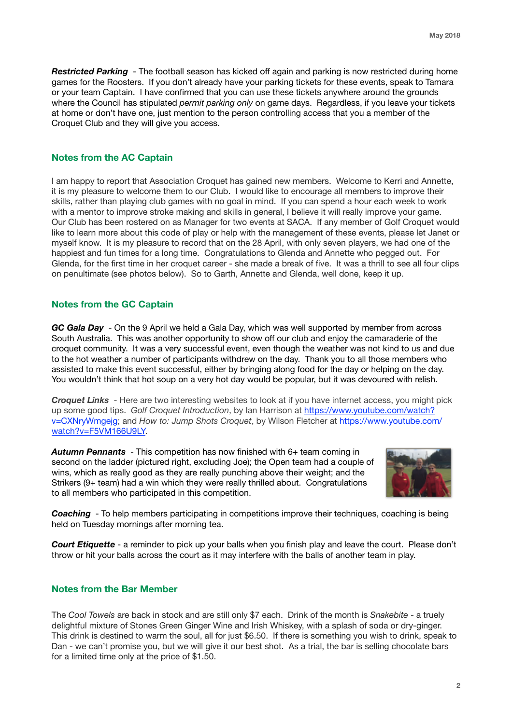*Restricted Parking* - The football season has kicked off again and parking is now restricted during home games for the Roosters. If you don't already have your parking tickets for these events, speak to Tamara or your team Captain. I have confirmed that you can use these tickets anywhere around the grounds where the Council has stipulated *permit parking only* on game days. Regardless, if you leave your tickets at home or don't have one, just mention to the person controlling access that you a member of the Croquet Club and they will give you access.

## **Notes from the AC Captain**

I am happy to report that Association Croquet has gained new members. Welcome to Kerri and Annette, it is my pleasure to welcome them to our Club. I would like to encourage all members to improve their skills, rather than playing club games with no goal in mind. If you can spend a hour each week to work with a mentor to improve stroke making and skills in general, I believe it will really improve your game. Our Club has been rostered on as Manager for two events at SACA. If any member of Golf Croquet would like to learn more about this code of play or help with the management of these events, please let Janet or myself know. It is my pleasure to record that on the 28 April, with only seven players, we had one of the happiest and fun times for a long time. Congratulations to Glenda and Annette who pegged out. For Glenda, for the first time in her croquet career - she made a break of five. It was a thrill to see all four clips on penultimate (see photos below). So to Garth, Annette and Glenda, well done, keep it up.

## **Notes from the GC Captain**

*GC Gala Day* - On the 9 April we held a Gala Day, which was well supported by member from across South Australia. This was another opportunity to show off our club and enjoy the camaraderie of the croquet community. It was a very successful event, even though the weather was not kind to us and due to the hot weather a number of participants withdrew on the day. Thank you to all those members who assisted to make this event successful, either by bringing along food for the day or helping on the day. You wouldn't think that hot soup on a very hot day would be popular, but it was devoured with relish.

*Croquet Links* - Here are two interesting websites to look at if you have internet access, you might pick up some good tips. *Golf Croquet Introduction*, by Ian Harrison at [https://www.youtube.com/watch?](https://www.youtube.com/watch?v=CXNryWmgejg) [v=CXNryWmgejg;](https://www.youtube.com/watch?v=CXNryWmgejg) and *How to: Jump Shots Croquet*, by Wilson Fletcher at [https://www.youtube.com/](https://www.youtube.com/watch?v=F5VM166U9LY) [watch?v=F5VM166U9LY.](https://www.youtube.com/watch?v=F5VM166U9LY)

*Autumn Pennants* - This competition has now finished with 6+ team coming in second on the ladder (pictured right, excluding Joe); the Open team had a couple of wins, which as really good as they are really punching above their weight; and the Strikers (9+ team) had a win which they were really thrilled about. Congratulations to all members who participated in this competition.



*Coaching* - To help members participating in competitions improve their techniques, coaching is being held on Tuesday mornings after morning tea.

*Court Etiquette* - a reminder to pick up your balls when you finish play and leave the court. Please don't throw or hit your balls across the court as it may interfere with the balls of another team in play.

#### **Notes from the Bar Member**

The *Cool Towels* are back in stock and are still only \$7 each. Drink of the month is *Snakebite* - a truely delightful mixture of Stones Green Ginger Wine and Irish Whiskey, with a splash of soda or dry-ginger. This drink is destined to warm the soul, all for just \$6.50. If there is something you wish to drink, speak to Dan - we can't promise you, but we will give it our best shot. As a trial, the bar is selling chocolate bars for a limited time only at the price of \$1.50.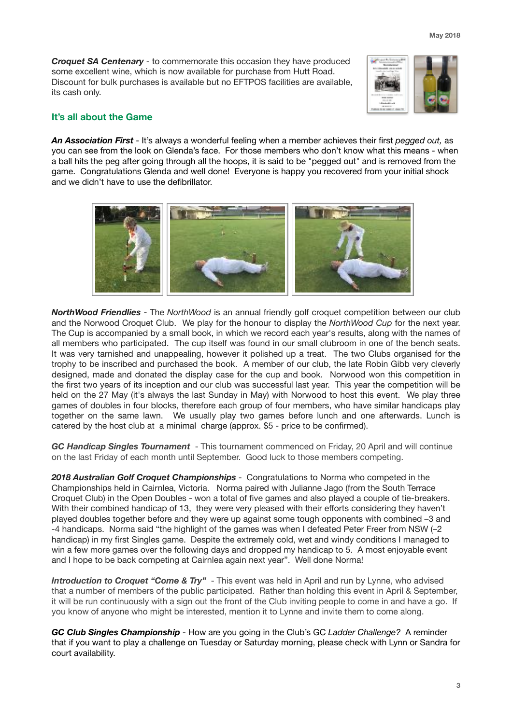*Croquet SA Centenary* - to commemorate this occasion they have produced some excellent wine, which is now available for purchase from Hutt Road. Discount for bulk purchases is available but no EFTPOS facilities are available, its cash only.



# **It's all about the Game**

*An Association First* - It's always a wonderful feeling when a member achieves their first *pegged out,* as you can see from the look on Glenda's face. For those members who don't know what this means - when a ball hits the peg after going through all the hoops, it is said to be "pegged out" and is removed from the game. Congratulations Glenda and well done! Everyone is happy you recovered from your initial shock and we didn't have to use the defibrillator.



*NorthWood Friendlies* - The *NorthWood* is an annual friendly golf croquet competition between our club and the Norwood Croquet Club. We play for the honour to display the *NorthWood Cup* for the next year. The Cup is accompanied by a small book, in which we record each year's results, along with the names of all members who participated. The cup itself was found in our small clubroom in one of the bench seats. It was very tarnished and unappealing, however it polished up a treat. The two Clubs organised for the trophy to be inscribed and purchased the book. A member of our club, the late Robin Gibb very cleverly designed, made and donated the display case for the cup and book. Norwood won this competition in the first two years of its inception and our club was successful last year. This year the competition will be held on the 27 May (it's always the last Sunday in May) with Norwood to host this event. We play three games of doubles in four blocks, therefore each group of four members, who have similar handicaps play together on the same lawn. We usually play two games before lunch and one afterwards. Lunch is catered by the host club at a minimal charge (approx. \$5 - price to be confirmed).

*GC Handicap Singles Tournament* - This tournament commenced on Friday, 20 April and will continue on the last Friday of each month until September. Good luck to those members competing.

*2018 Australian Golf Croquet Championships* - Congratulations to Norma who competed in the Championships held in Cairnlea, Victoria. Norma paired with Julianne Jago (from the South Terrace Croquet Club) in the Open Doubles - won a total of five games and also played a couple of tie-breakers. With their combined handicap of 13, they were very pleased with their efforts considering they haven't played doubles together before and they were up against some tough opponents with combined –3 and -4 handicaps. Norma said "the highlight of the games was when I defeated Peter Freer from NSW (–2 handicap) in my first Singles game. Despite the extremely cold, wet and windy conditions I managed to win a few more games over the following days and dropped my handicap to 5. A most enjoyable event and I hope to be back competing at Cairnlea again next year". Well done Norma!

**Introduction to Croquet "Come & Try"** - This event was held in April and run by Lynne, who advised that a number of members of the public participated. Rather than holding this event in April & September, it will be run continuously with a sign out the front of the Club inviting people to come in and have a go. If you know of anyone who might be interested, mention it to Lynne and invite them to come along.

*GC Club Singles Championship -* How are you going in the Club's GC *Ladder Challenge?* A reminder that if you want to play a challenge on Tuesday or Saturday morning, please check with Lynn or Sandra for court availability.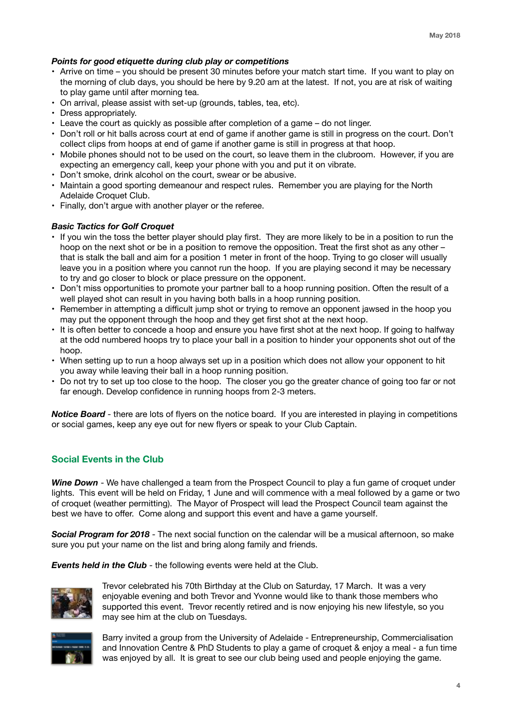## *Points for good etiquette during club play or competitions*

- Arrive on time you should be present 30 minutes before your match start time. If you want to play on the morning of club days, you should be here by 9.20 am at the latest. If not, you are at risk of waiting to play game until after morning tea.
- On arrival, please assist with set-up (grounds, tables, tea, etc).
- Dress appropriately.
- Leave the court as quickly as possible after completion of a game do not linger.
- Don't roll or hit balls across court at end of game if another game is still in progress on the court. Don't collect clips from hoops at end of game if another game is still in progress at that hoop.
- Mobile phones should not to be used on the court, so leave them in the clubroom. However, if you are expecting an emergency call, keep your phone with you and put it on vibrate.
- Don't smoke, drink alcohol on the court, swear or be abusive.
- Maintain a good sporting demeanour and respect rules. Remember you are playing for the North Adelaide Croquet Club.
- Finally, don't argue with another player or the referee.

## *Basic Tactics for Golf Croquet*

- If you win the toss the better player should play first. They are more likely to be in a position to run the hoop on the next shot or be in a position to remove the opposition. Treat the first shot as any other – that is stalk the ball and aim for a position 1 meter in front of the hoop. Trying to go closer will usually leave you in a position where you cannot run the hoop. If you are playing second it may be necessary to try and go closer to block or place pressure on the opponent.
- Don't miss opportunities to promote your partner ball to a hoop running position. Often the result of a well played shot can result in you having both balls in a hoop running position.
- Remember in attempting a difficult jump shot or trying to remove an opponent jawsed in the hoop you may put the opponent through the hoop and they get first shot at the next hoop.
- It is often better to concede a hoop and ensure you have first shot at the next hoop. If going to halfway at the odd numbered hoops try to place your ball in a position to hinder your opponents shot out of the hoop.
- When setting up to run a hoop always set up in a position which does not allow your opponent to hit you away while leaving their ball in a hoop running position.
- Do not try to set up too close to the hoop. The closer you go the greater chance of going too far or not far enough. Develop confidence in running hoops from 2-3 meters.

*Notice Board -* there are lots of flyers on the notice board. If you are interested in playing in competitions or social games, keep any eye out for new flyers or speak to your Club Captain.

# **Social Events in the Club**

*Wine Down* - We have challenged a team from the Prospect Council to play a fun game of croquet under lights. This event will be held on Friday, 1 June and will commence with a meal followed by a game or two of croquet (weather permitting). The Mayor of Prospect will lead the Prospect Council team against the best we have to offer. Come along and support this event and have a game yourself.

**Social Program for 2018** - The next social function on the calendar will be a musical afternoon, so make sure you put your name on the list and bring along family and friends.

*Events held in the Club* - the following events were held at the Club.



Trevor celebrated his 70th Birthday at the Club on Saturday, 17 March. It was a very enjoyable evening and both Trevor and Yvonne would like to thank those members who supported this event. Trevor recently retired and is now enjoying his new lifestyle, so you may see him at the club on Tuesdays.



Barry invited a group from the University of Adelaide - Entrepreneurship, Commercialisation and Innovation Centre & PhD Students to play a game of croquet & enjoy a meal - a fun time was enjoyed by all. It is great to see our club being used and people enjoying the game.